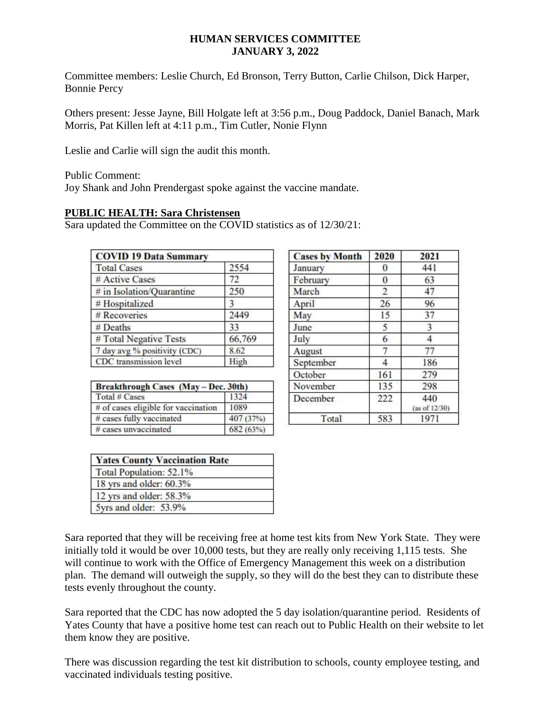### **HUMAN SERVICES COMMITTEE JANUARY 3, 2022**

Committee members: Leslie Church, Ed Bronson, Terry Button, Carlie Chilson, Dick Harper, Bonnie Percy

Others present: Jesse Jayne, Bill Holgate left at 3:56 p.m., Doug Paddock, Daniel Banach, Mark Morris, Pat Killen left at 4:11 p.m., Tim Cutler, Nonie Flynn

Leslie and Carlie will sign the audit this month.

Public Comment:

Joy Shank and John Prendergast spoke against the vaccine mandate.

### **PUBLIC HEALTH: Sara Christensen**

Sara updated the Committee on the COVID statistics as of 12/30/21:

| <b>COVID 19 Data Summary</b> |        |
|------------------------------|--------|
| <b>Total Cases</b>           | 2554   |
| # Active Cases               | 72     |
| # in Isolation/Quarantine    | 250    |
| #Hospitalized                |        |
| # Recoveries                 | 2449   |
| # Deaths                     | 33     |
| # Total Negative Tests       | 66,769 |
| 7 day avg % positivity (CDC) | 8.62   |
| CDC transmission level       | High   |

| Breakthrough Cases (May - Dec. 30th) |           |  |  |  |  |
|--------------------------------------|-----------|--|--|--|--|
| Total # Cases                        | 1324      |  |  |  |  |
| # of cases eligible for vaccination  | 1089      |  |  |  |  |
| # cases fully vaccinated             | 407 (37%) |  |  |  |  |
| # cases unvaccinated                 | 682(63%)  |  |  |  |  |

| <b>Cases by Month</b> | 2020 | 2021                 |
|-----------------------|------|----------------------|
| January               | 0    | 441                  |
| February              | 0    | 63                   |
| March                 | 2    | 47                   |
| April                 | 26   | 96                   |
| May                   | 15   | 37                   |
| June                  | 5    |                      |
| July                  | 6    | 4                    |
| August                |      | 77                   |
| September             | 4    | 186                  |
| October               | 161  | 279                  |
| November              | 135  | 298                  |
| December              | 222  | 440<br>(as of 12/30) |
| Total                 | 583  | 1971                 |

| <b>Yates County Vaccination Rate</b> |  |
|--------------------------------------|--|
| Total Population: 52.1%              |  |
| 18 yrs and older: 60.3%              |  |
| 12 yrs and older: 58.3%              |  |
| 5yrs and older: 53.9%                |  |

Sara reported that they will be receiving free at home test kits from New York State. They were initially told it would be over 10,000 tests, but they are really only receiving 1,115 tests. She will continue to work with the Office of Emergency Management this week on a distribution plan. The demand will outweigh the supply, so they will do the best they can to distribute these tests evenly throughout the county.

Sara reported that the CDC has now adopted the 5 day isolation/quarantine period. Residents of Yates County that have a positive home test can reach out to Public Health on their website to let them know they are positive.

There was discussion regarding the test kit distribution to schools, county employee testing, and vaccinated individuals testing positive.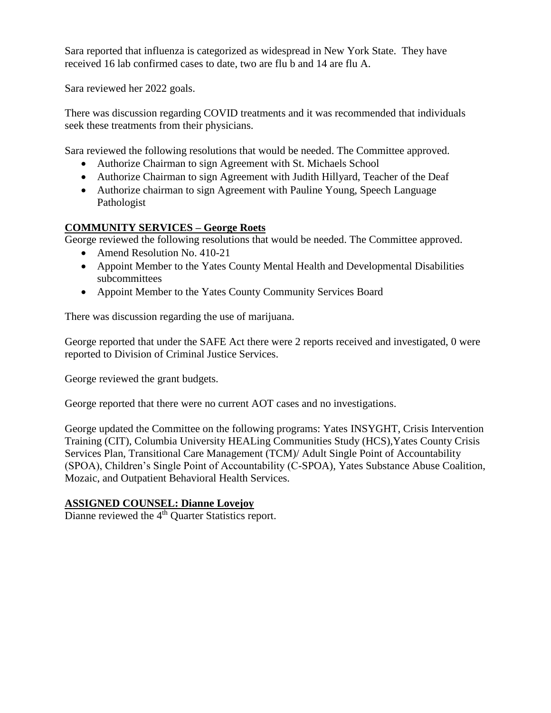Sara reported that influenza is categorized as widespread in New York State. They have received 16 lab confirmed cases to date, two are flu b and 14 are flu A.

Sara reviewed her 2022 goals.

There was discussion regarding COVID treatments and it was recommended that individuals seek these treatments from their physicians.

Sara reviewed the following resolutions that would be needed. The Committee approved.

- Authorize Chairman to sign Agreement with St. Michaels School
- Authorize Chairman to sign Agreement with Judith Hillyard, Teacher of the Deaf
- Authorize chairman to sign Agreement with Pauline Young, Speech Language Pathologist

## **COMMUNITY SERVICES – George Roets**

George reviewed the following resolutions that would be needed. The Committee approved.

- Amend Resolution No. 410-21
- Appoint Member to the Yates County Mental Health and Developmental Disabilities subcommittees
- Appoint Member to the Yates County Community Services Board

There was discussion regarding the use of marijuana.

George reported that under the SAFE Act there were 2 reports received and investigated, 0 were reported to Division of Criminal Justice Services.

George reviewed the grant budgets.

George reported that there were no current AOT cases and no investigations.

George updated the Committee on the following programs: Yates INSYGHT, Crisis Intervention Training (CIT), Columbia University HEALing Communities Study (HCS),Yates County Crisis Services Plan, Transitional Care Management (TCM)/ Adult Single Point of Accountability (SPOA), Children's Single Point of Accountability (C-SPOA), Yates Substance Abuse Coalition, Mozaic, and Outpatient Behavioral Health Services.

## **ASSIGNED COUNSEL: Dianne Lovejoy**

Dianne reviewed the 4<sup>th</sup> Quarter Statistics report.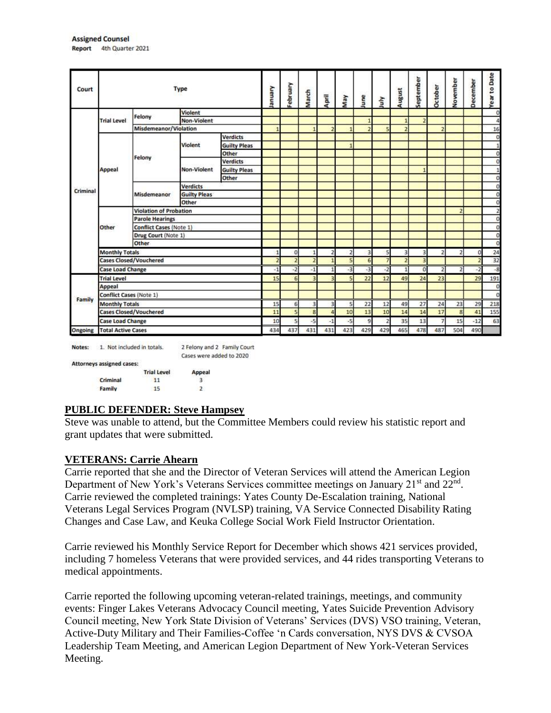| Court                           | <b>Type</b>                    |                                |                     | Alenus                      | February     | March          | April                    | VeW            | June                    | έ    | August | September      | October        | November       | December       | to Date<br>Year |                |
|---------------------------------|--------------------------------|--------------------------------|---------------------|-----------------------------|--------------|----------------|--------------------------|----------------|-------------------------|------|--------|----------------|----------------|----------------|----------------|-----------------|----------------|
|                                 |                                |                                | Violent             |                             |              |                |                          |                |                         |      |        |                |                |                |                |                 | $\Omega$       |
|                                 | <b>Trial Level</b>             | Felony                         | Non-Violent         |                             |              |                |                          |                |                         | 1    |        |                | $\overline{z}$ |                |                |                 | Δ              |
|                                 |                                | Misdemeanor/Violation          |                     |                             |              |                |                          |                |                         | þ    | ×,     | $\overline{2}$ |                | Þ              |                |                 | 16             |
|                                 |                                |                                | Violent             | <b>Verdicts</b>             |              |                |                          |                |                         |      |        |                |                |                |                |                 | $\Omega$       |
|                                 |                                |                                |                     | <b>Guilty Pleas</b>         |              |                |                          |                | $\overline{\mathbf{1}}$ |      |        |                |                |                |                |                 |                |
|                                 |                                |                                |                     | Other                       |              |                |                          |                |                         |      |        |                |                |                |                |                 | $\Omega$       |
|                                 |                                | Felony                         |                     | <b>Verdicts</b>             |              |                |                          |                |                         |      |        |                |                |                |                |                 | $\overline{0}$ |
|                                 | <b>Appeal</b>                  |                                | Non-Violent         | <b>Guilty Pleas</b>         |              |                |                          |                |                         |      |        |                |                |                |                |                 |                |
|                                 |                                |                                |                     | Other                       |              |                |                          |                |                         |      |        |                |                |                |                |                 | $\Omega$       |
|                                 |                                |                                | <b>Verdicts</b>     |                             |              |                |                          |                |                         |      |        |                |                |                |                |                 | O              |
| Criminal                        |                                | Misdemeanor                    | <b>Guilty Pleas</b> |                             |              |                |                          |                |                         |      |        |                |                |                |                |                 | $\circ$        |
|                                 |                                | Other                          |                     |                             |              |                |                          |                |                         |      |        |                |                |                |                |                 | $\overline{0}$ |
|                                 |                                | <b>Violation of Probation</b>  |                     |                             |              |                |                          |                |                         |      |        |                |                | $\overline{2}$ |                | $\overline{2}$  |                |
|                                 |                                | <b>Parole Hearings</b>         |                     |                             |              |                |                          |                |                         |      |        |                |                |                |                |                 | $\mathbf{0}$   |
|                                 | Other                          | <b>Conflict Cases (Note 1)</b> |                     |                             |              |                |                          |                |                         |      |        |                |                |                |                |                 | $\overline{0}$ |
|                                 |                                | Drug Court (Note 1)            |                     |                             |              |                |                          |                |                         |      |        |                |                |                |                |                 | $\circ$        |
|                                 |                                | <b>Other</b>                   |                     |                             |              |                |                          |                |                         |      |        |                |                |                |                |                 | $\overline{0}$ |
|                                 | <b>Monthly Totals</b>          |                                |                     | $\theta$                    | $\mathbf{1}$ | $\overline{2}$ | $\mathbf{z}$             | 3              | 5                       | 3    | 3      | $\overline{2}$ | $\overline{2}$ | $\overline{0}$ | 24             |                 |                |
|                                 |                                | <b>Cases Closed/Vouchered</b>  |                     |                             |              | 2              | $\overline{2}$           |                | 5                       | 6    |        | $\overline{z}$ | 3              |                |                | $\overline{2}$  | 32             |
|                                 | <b>Case Load Change</b>        |                                |                     |                             | $-1$         | $-2$           | $-1$                     | $\mathbf{1}$   | $-3$                    | $-3$ | $-2$   | $\mathbf{1}$   | $\overline{0}$ | $\overline{2}$ | $\overline{2}$ | $-2$            | $-8$           |
|                                 | <b>Trial Level</b>             |                                |                     |                             | 15           | 6              | $\overline{\mathcal{L}}$ |                | 5                       | 22   | 12     | 49             | 24             | 23             |                | 29              | 191            |
|                                 | Appeal                         |                                |                     |                             |              |                |                          |                |                         |      |        |                |                |                |                |                 | $\bf{0}$       |
|                                 | <b>Conflict Cases (Note 1)</b> |                                |                     |                             |              |                |                          |                |                         |      |        |                |                |                |                |                 | $\Omega$       |
| Family<br><b>Monthly Totals</b> |                                |                                |                     | 15                          | 6            | 3              | 3                        | $\overline{5}$ | 22                      | 12   | 49     | 27             | 24             | 23             | 29             | 218             |                |
|                                 | <b>Cases Closed/Vouchered</b>  |                                | 11                  | 5                           | 8            | Δ              | 10                       | 13             | 10                      | 14   | 14     | 17             | 8              | 41             | 155            |                 |                |
|                                 | <b>Case Load Change</b>        |                                |                     | 10                          | 5            | -5             | $-1$                     | $-5$           | 9                       | 2    | 35     | 13             | 7              | 15             | $-12$          | 63              |                |
| Ongoing                         | <b>Total Active Cases</b>      |                                |                     | 434                         | 437          | 431            | 431                      | 423            | 429                     | 429  | 465    | 478            | 487            | 504            | 490            |                 |                |
| Notes:                          |                                | 1. Not included in totals.     |                     | 2 Felony and 2 Family Court |              |                |                          |                |                         |      |        |                |                |                |                |                 |                |

Attorneys assigned cases:

Cases were add<mark>e</mark>d to 2020

**Trial Level** Appeal Criminal  $11$  $\overline{\mathbf{3}}$  $\mathbf{z}$ 15 Family

#### **PUBLIC DEFENDER: Steve Hampsey**

Steve was unable to attend, but the Committee Members could review his statistic report and grant updates that were submitted.

#### **VETERANS: Carrie Ahearn**

Carrie reported that she and the Director of Veteran Services will attend the American Legion Department of New York's Veterans Services committee meetings on January 21<sup>st</sup> and 22<sup>nd</sup>. Carrie reviewed the completed trainings: Yates County De-Escalation training, National Veterans Legal Services Program (NVLSP) training, VA Service Connected Disability Rating Changes and Case Law, and Keuka College Social Work Field Instructor Orientation.

Carrie reviewed his Monthly Service Report for December which shows 421 services provided, including 7 homeless Veterans that were provided services, and 44 rides transporting Veterans to medical appointments.

Carrie reported the following upcoming veteran-related trainings, meetings, and community events: Finger Lakes Veterans Advocacy Council meeting, Yates Suicide Prevention Advisory Council meeting, New York State Division of Veterans' Services (DVS) VSO training, Veteran, Active-Duty Military and Their Families-Coffee 'n Cards conversation, NYS DVS & CVSOA Leadership Team Meeting, and American Legion Department of New York-Veteran Services Meeting.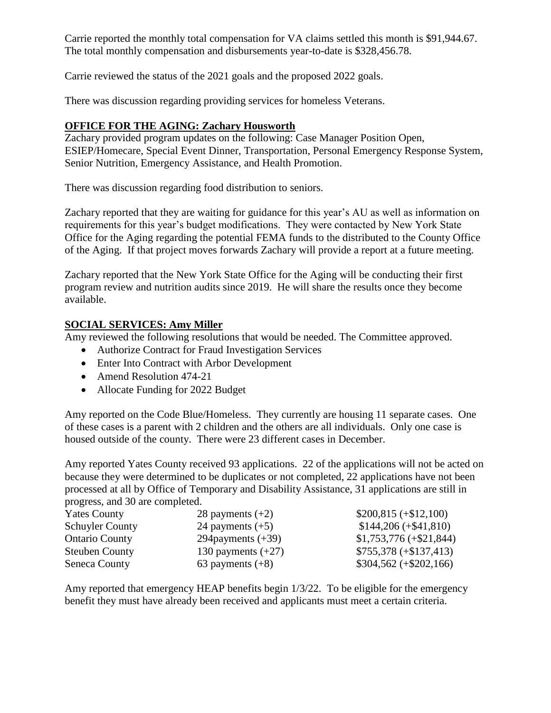Carrie reported the monthly total compensation for VA claims settled this month is \$91,944.67. The total monthly compensation and disbursements year-to-date is \$328,456.78.

Carrie reviewed the status of the 2021 goals and the proposed 2022 goals.

There was discussion regarding providing services for homeless Veterans.

## **OFFICE FOR THE AGING: Zachary Housworth**

Zachary provided program updates on the following: Case Manager Position Open, ESIEP/Homecare, Special Event Dinner, Transportation, Personal Emergency Response System, Senior Nutrition, Emergency Assistance, and Health Promotion.

There was discussion regarding food distribution to seniors.

Zachary reported that they are waiting for guidance for this year's AU as well as information on requirements for this year's budget modifications. They were contacted by New York State Office for the Aging regarding the potential FEMA funds to the distributed to the County Office of the Aging. If that project moves forwards Zachary will provide a report at a future meeting.

Zachary reported that the New York State Office for the Aging will be conducting their first program review and nutrition audits since 2019. He will share the results once they become available.

# **SOCIAL SERVICES: Amy Miller**

Amy reviewed the following resolutions that would be needed. The Committee approved.

- Authorize Contract for Fraud Investigation Services
- Enter Into Contract with Arbor Development
- Amend Resolution 474-21
- Allocate Funding for 2022 Budget

Amy reported on the Code Blue/Homeless. They currently are housing 11 separate cases. One of these cases is a parent with 2 children and the others are all individuals. Only one case is housed outside of the county. There were 23 different cases in December.

Amy reported Yates County received 93 applications. 22 of the applications will not be acted on because they were determined to be duplicates or not completed, 22 applications have not been processed at all by Office of Temporary and Disability Assistance, 31 applications are still in progress, and 30 are completed.

| <b>Yates County</b>    | 28 payments $(+2)$   | $$200,815 (+\$12,100)$   |
|------------------------|----------------------|--------------------------|
| <b>Schuyler County</b> | 24 payments $(+5)$   | $$144,206 (+ $41,810)$   |
| <b>Ontario County</b>  | 294 payments $(+39)$ | $$1,753,776 (+ $21,844)$ |
| <b>Steuben County</b>  | 130 payments $(+27)$ | $$755,378 (+\$137,413)$  |
| Seneca County          | 63 payments $(+8)$   | $$304,562 (+\$202,166)$  |

Amy reported that emergency HEAP benefits begin 1/3/22. To be eligible for the emergency benefit they must have already been received and applicants must meet a certain criteria.